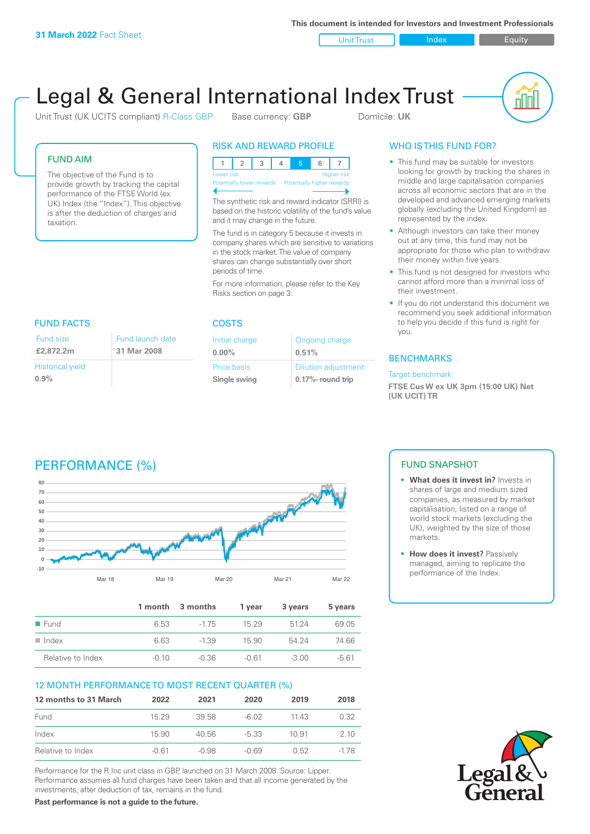**This document is intended for Investors and Investment Professionals**

Unit Trust Index I Equity



# Legal & General International Index Trust

Unit Trust (UK UCITS compliant) R-Class GBP Base currency: **GBP** Domicile: UK

# FUND AIM

The objective of the Fund is to provide growth by tracking the capital performance of the FTSE World (ex UK) Index (the "Index"). This objective is after the deduction of charges and taxation.

# RISK AND REWARD PROFILE

| Lower risk                                           |  |  |  |  | <b>Higher risk</b> |
|------------------------------------------------------|--|--|--|--|--------------------|
| Potentially lower rewards Potentially higher rewards |  |  |  |  |                    |
|                                                      |  |  |  |  |                    |

The synthetic risk and reward indicator (SRRI) is based on the historic volatility of the fund's value and it may change in the future.

The fund is in category 5 because it invests in company shares which are sensitive to variations in the stock market. The value of company shares can change substantially over short periods of time.

For more information, please refer to the Key Risks section on page 3.

| <b>FUND FACTS</b>               |                                 |
|---------------------------------|---------------------------------|
| <b>Fund size</b><br>£2,872.2m   | Fund launch date<br>31 Mar 2008 |
| <b>Historical yield</b><br>0.9% |                                 |

#### COSTS

| Initial charge | Ongoing charge             |  |
|----------------|----------------------------|--|
| $0.00\%$       | 0.51%                      |  |
| Price basis    | <b>Dilution adjustment</b> |  |
| Single swing   | 0.17%- round trip          |  |

# WHO IS THIS FUND FOR?

- This fund may be suitable for investors looking for growth by tracking the shares in middle and large capitalisation companies across all economic sectors that are in the developed and advanced emerging markets globally (excluding the United Kingdom) as represented by the index.
- Although investors can take their money out at any time, this fund may not be appropriate for those who plan to withdraw their money within five years.
- This fund is not designed for investors who cannot afford more than a minimal loss of their investment.
- If you do not understand this document we recommend you seek additional information to help you decide if this fund is right for you.

## **BENCHMARKS**

#### Target benchmark

**FTSE Cus W ex UK 3pm (15:00 UK) Net (UK UCIT) TR**

# PERFORMANCE (%)



|                      |         | 1 month 3 months | 1 vear  | 3 years | 5 years |
|----------------------|---------|------------------|---------|---------|---------|
| $\blacksquare$ Fund  | 6.53    | $-175$           | 15 29   | 5124    | 69.05   |
| $\blacksquare$ Index | 6.63    | $-1.39$          | 15.90   | 54 24   | 74.66   |
| Relative to Index    | $-0.10$ | $-0.36$          | $-0.61$ | $-3.00$ | $-561$  |

# 12 MONTH PERFORMANCE TO MOST RECENT QUARTER (%)

| 12 months to 31 March | 2022  | 2021    | 2020    | 2019  | 2018 |
|-----------------------|-------|---------|---------|-------|------|
| Fund                  | 15 29 | 39.58   | -6.02   | 11 43 | 0.32 |
| Index                 | 15.90 | 40.56   | $-5.33$ | 10.91 | 2 10 |
| Relative to Index     | -0.61 | $-0.98$ | -0.69   | 0.52  | -178 |

Performance for the R Inc unit class in GBP, launched on 31 March 2008. Source: Lipper. Performance assumes all fund charges have been taken and that all income generated by the investments, after deduction of tax, remains in the fund.

**Past performance is not a guide to the future.**

# FUND SNAPSHOT

- **• What does it invest in?** Invests in shares of large and medium sized companies, as measured by market capitalisation, listed on a range of world stock markets (excluding the UK), weighted by the size of those markets.
- **• How does it invest?** Passively managed, aiming to replicate the performance of the Index.

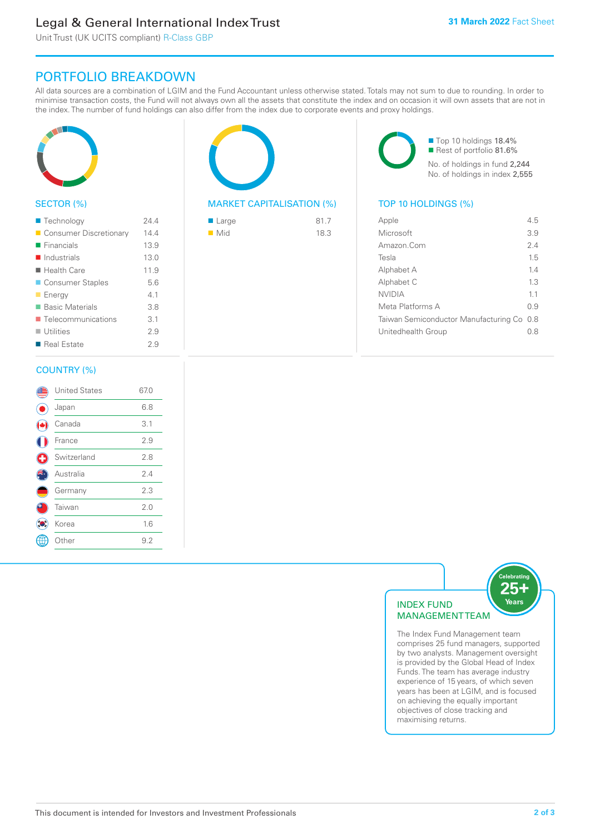# Legal & General International Index Trust

Unit Trust (UK UCITS compliant) R-Class GBP

# PORTFOLIO BREAKDOWN

All data sources are a combination of LGIM and the Fund Accountant unless otherwise stated. Totals may not sum to due to rounding. In order to minimise transaction costs, the Fund will not always own all the assets that constitute the index and on occasion it will own assets that are not in the index. The number of fund holdings can also differ from the index due to corporate events and proxy holdings.



## SECTOR (%)

| ■ Technology                      | 244  |
|-----------------------------------|------|
| Consumer Discretionary            | 14.4 |
| $\blacksquare$ Financials         | 13.9 |
| $\blacksquare$ Industrials        | 13.0 |
| $\blacksquare$ Health Care        | 11.9 |
| ■ Consumer Staples                | 5.6  |
| <b>Energy</b>                     | 41   |
| <b>Basic Materials</b>            | 3.8  |
| $\blacksquare$ Telecommunications | 3.1  |
| $\blacksquare$ Utilities          | 29   |
| ■ Real Estate                     | 29   |
|                                   |      |

### COUNTRY (%)

|   | <b>United States</b> | 67.0 |  |
|---|----------------------|------|--|
|   | Japan                | 6.8  |  |
|   | Canada               | 3.1  |  |
|   | France               | 2.9  |  |
| Œ | Switzerland          | 2.8  |  |
|   | Australia            | 2.4  |  |
|   | Germany              | 2.3  |  |
|   | Taiwan               | 2.0  |  |
|   | Korea                | 1.6  |  |
|   | Other                | 9.2  |  |
|   |                      |      |  |



## MARKET CAPITALISATION (%) TOP 10 HOLDINGS (%)

| $\blacksquare$ Large | 81.7 |
|----------------------|------|
| $\blacksquare$ Mid   | 18.3 |

■ Top 10 holdings 18.4% Rest of portfolio 81.6% No. of holdings in fund 2,244 No. of holdings in index 2,555

| Apple                                     | 45  |
|-------------------------------------------|-----|
| Microsoft                                 | 3.9 |
| Amazon Com                                | 24  |
| Tesla                                     | 15  |
| Alphabet A                                | 14  |
| Alphabet C                                | 13  |
| NVIDIA                                    | 11  |
| Meta Platforms A                          | 09  |
| Taiwan Semiconductor Manufacturing Co 0.8 |     |
| Unitedhealth Group                        | 0 8 |
|                                           |     |



The Index Fund Management team comprises 25 fund managers, supported by two analysts. Management oversight is provided by the Global Head of Index Funds. The team has average industry experience of 15 years, of which seven years has been at LGIM, and is focused on achieving the equally important objectives of close tracking and maximising returns.